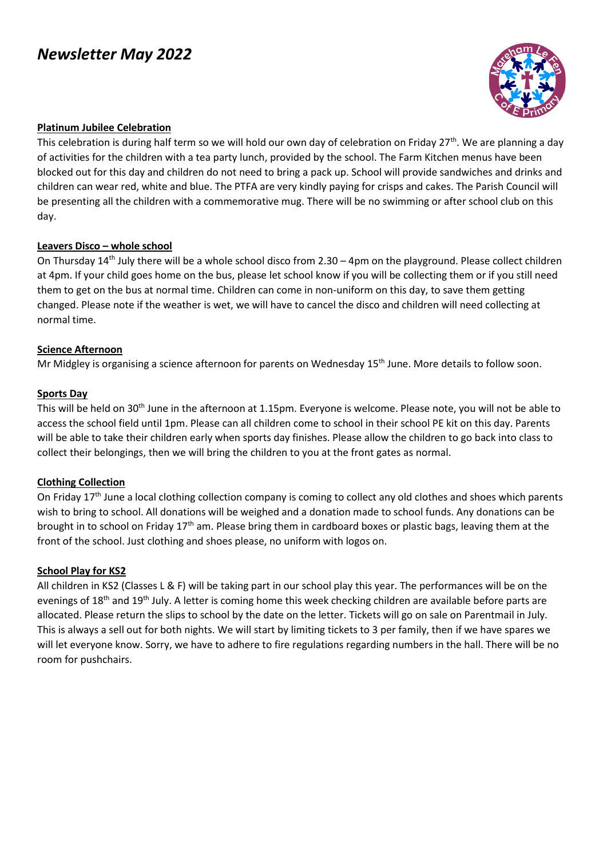# *Newsletter May 2022*



#### **Platinum Jubilee Celebration**

This celebration is during half term so we will hold our own day of celebration on Friday 27<sup>th</sup>. We are planning a day of activities for the children with a tea party lunch, provided by the school. The Farm Kitchen menus have been blocked out for this day and children do not need to bring a pack up. School will provide sandwiches and drinks and children can wear red, white and blue. The PTFA are very kindly paying for crisps and cakes. The Parish Council will be presenting all the children with a commemorative mug. There will be no swimming or after school club on this day.

#### **Leavers Disco – whole school**

On Thursday  $14<sup>th</sup>$  July there will be a whole school disco from 2.30 – 4pm on the playground. Please collect children at 4pm. If your child goes home on the bus, please let school know if you will be collecting them or if you still need them to get on the bus at normal time. Children can come in non-uniform on this day, to save them getting changed. Please note if the weather is wet, we will have to cancel the disco and children will need collecting at normal time.

#### **Science Afternoon**

Mr Midgley is organising a science afternoon for parents on Wednesday 15<sup>th</sup> June. More details to follow soon.

#### **Sports Day**

This will be held on 30th June in the afternoon at 1.15pm. Everyone is welcome. Please note, you will not be able to access the school field until 1pm. Please can all children come to school in their school PE kit on this day. Parents will be able to take their children early when sports day finishes. Please allow the children to go back into class to collect their belongings, then we will bring the children to you at the front gates as normal.

#### **Clothing Collection**

On Friday 17<sup>th</sup> June a local clothing collection company is coming to collect any old clothes and shoes which parents wish to bring to school. All donations will be weighed and a donation made to school funds. Any donations can be brought in to school on Friday 17<sup>th</sup> am. Please bring them in cardboard boxes or plastic bags, leaving them at the front of the school. Just clothing and shoes please, no uniform with logos on.

#### **School Play for KS2**

All children in KS2 (Classes L & F) will be taking part in our school play this year. The performances will be on the evenings of 18<sup>th</sup> and 19<sup>th</sup> July. A letter is coming home this week checking children are available before parts are allocated. Please return the slips to school by the date on the letter. Tickets will go on sale on Parentmail in July. This is always a sell out for both nights. We will start by limiting tickets to 3 per family, then if we have spares we will let everyone know. Sorry, we have to adhere to fire regulations regarding numbers in the hall. There will be no room for pushchairs.